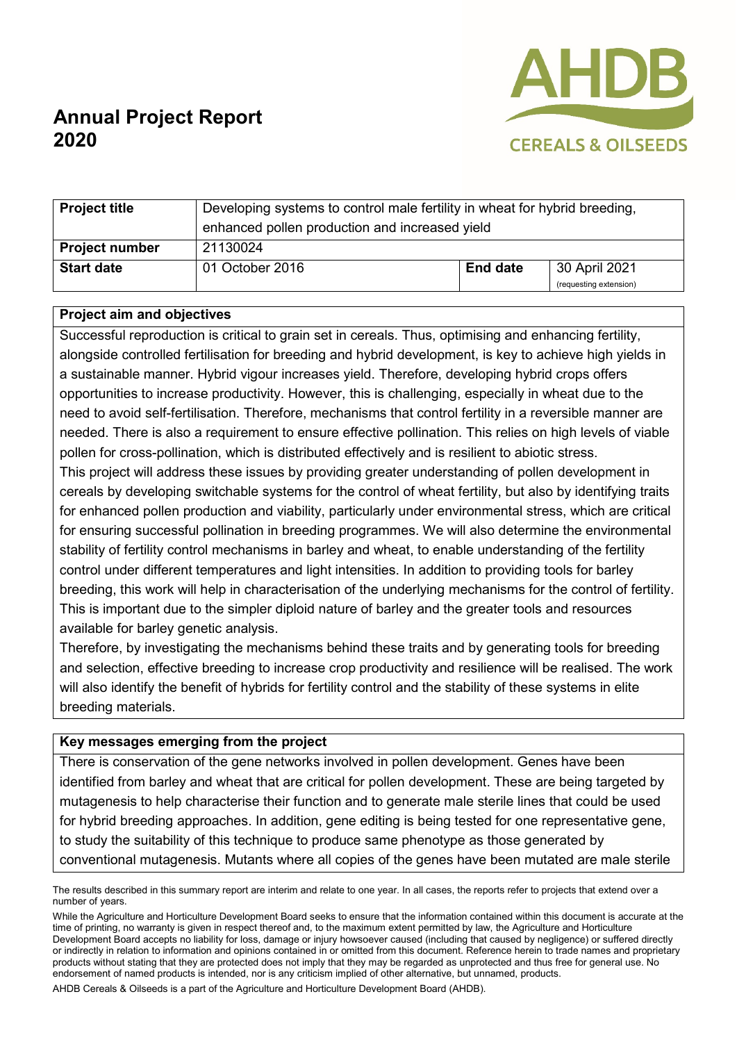

# **Annual Project Report 2020**

| <b>Project title</b>  | Developing systems to control male fertility in wheat for hybrid breeding,<br>enhanced pollen production and increased yield |                 |                                         |
|-----------------------|------------------------------------------------------------------------------------------------------------------------------|-----------------|-----------------------------------------|
| <b>Project number</b> | 21130024                                                                                                                     |                 |                                         |
| <b>Start date</b>     | 01 October 2016                                                                                                              | <b>End date</b> | 30 April 2021<br>(requesting extension) |

#### **Project aim and objectives**

Successful reproduction is critical to grain set in cereals. Thus, optimising and enhancing fertility, alongside controlled fertilisation for breeding and hybrid development, is key to achieve high yields in a sustainable manner. Hybrid vigour increases yield. Therefore, developing hybrid crops offers opportunities to increase productivity. However, this is challenging, especially in wheat due to the need to avoid self-fertilisation. Therefore, mechanisms that control fertility in a reversible manner are needed. There is also a requirement to ensure effective pollination. This relies on high levels of viable pollen for cross-pollination, which is distributed effectively and is resilient to abiotic stress. This project will address these issues by providing greater understanding of pollen development in cereals by developing switchable systems for the control of wheat fertility, but also by identifying traits for enhanced pollen production and viability, particularly under environmental stress, which are critical for ensuring successful pollination in breeding programmes. We will also determine the environmental stability of fertility control mechanisms in barley and wheat, to enable understanding of the fertility control under different temperatures and light intensities. In addition to providing tools for barley breeding, this work will help in characterisation of the underlying mechanisms for the control of fertility. This is important due to the simpler diploid nature of barley and the greater tools and resources available for barley genetic analysis.

Therefore, by investigating the mechanisms behind these traits and by generating tools for breeding and selection, effective breeding to increase crop productivity and resilience will be realised. The work will also identify the benefit of hybrids for fertility control and the stability of these systems in elite breeding materials.

### **Key messages emerging from the project**

There is conservation of the gene networks involved in pollen development. Genes have been identified from barley and wheat that are critical for pollen development. These are being targeted by mutagenesis to help characterise their function and to generate male sterile lines that could be used for hybrid breeding approaches. In addition, gene editing is being tested for one representative gene, to study the suitability of this technique to produce same phenotype as those generated by conventional mutagenesis. Mutants where all copies of the genes have been mutated are male sterile

AHDB Cereals & Oilseeds is a part of the Agriculture and Horticulture Development Board (AHDB).

The results described in this summary report are interim and relate to one year. In all cases, the reports refer to projects that extend over a number of years.

While the Agriculture and Horticulture Development Board seeks to ensure that the information contained within this document is accurate at the time of printing, no warranty is given in respect thereof and, to the maximum extent permitted by law, the Agriculture and Horticulture Development Board accepts no liability for loss, damage or injury howsoever caused (including that caused by negligence) or suffered directly or indirectly in relation to information and opinions contained in or omitted from this document. Reference herein to trade names and proprietary products without stating that they are protected does not imply that they may be regarded as unprotected and thus free for general use. No endorsement of named products is intended, nor is any criticism implied of other alternative, but unnamed, products.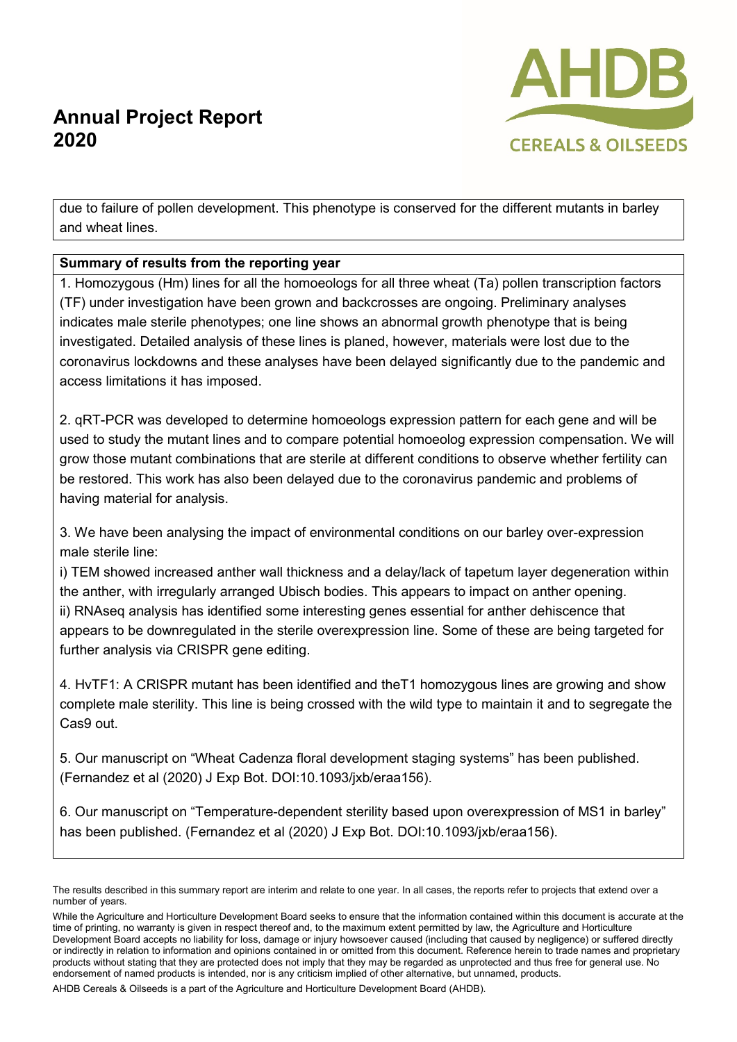## **Annual Project Report 2020**



due to failure of pollen development. This phenotype is conserved for the different mutants in barley and wheat lines.

## **Summary of results from the reporting year**

1. Homozygous (Hm) lines for all the homoeologs for all three wheat (Ta) pollen transcription factors (TF) under investigation have been grown and backcrosses are ongoing. Preliminary analyses indicates male sterile phenotypes; one line shows an abnormal growth phenotype that is being investigated. Detailed analysis of these lines is planed, however, materials were lost due to the coronavirus lockdowns and these analyses have been delayed significantly due to the pandemic and access limitations it has imposed.

2. qRT-PCR was developed to determine homoeologs expression pattern for each gene and will be used to study the mutant lines and to compare potential homoeolog expression compensation. We will grow those mutant combinations that are sterile at different conditions to observe whether fertility can be restored. This work has also been delayed due to the coronavirus pandemic and problems of having material for analysis.

3. We have been analysing the impact of environmental conditions on our barley over-expression male sterile line:

i) TEM showed increased anther wall thickness and a delay/lack of tapetum layer degeneration within the anther, with irregularly arranged Ubisch bodies. This appears to impact on anther opening. ii) RNAseq analysis has identified some interesting genes essential for anther dehiscence that appears to be downregulated in the sterile overexpression line. Some of these are being targeted for further analysis via CRISPR gene editing.

4. HvTF1: A CRISPR mutant has been identified and theT1 homozygous lines are growing and show complete male sterility. This line is being crossed with the wild type to maintain it and to segregate the Cas9 out.

5. Our manuscript on "Wheat Cadenza floral development staging systems" has been published. (Fernandez et al (2020) J Exp Bot. DOI:10.1093/jxb/eraa156).

6. Our manuscript on "Temperature-dependent sterility based upon overexpression of MS1 in barley" has been published. (Fernandez et al (2020) J Exp Bot. DOI:10.1093/jxb/eraa156).

AHDB Cereals & Oilseeds is a part of the Agriculture and Horticulture Development Board (AHDB).

The results described in this summary report are interim and relate to one year. In all cases, the reports refer to projects that extend over a number of years.

While the Agriculture and Horticulture Development Board seeks to ensure that the information contained within this document is accurate at the time of printing, no warranty is given in respect thereof and, to the maximum extent permitted by law, the Agriculture and Horticulture Development Board accepts no liability for loss, damage or injury howsoever caused (including that caused by negligence) or suffered directly or indirectly in relation to information and opinions contained in or omitted from this document. Reference herein to trade names and proprietary products without stating that they are protected does not imply that they may be regarded as unprotected and thus free for general use. No endorsement of named products is intended, nor is any criticism implied of other alternative, but unnamed, products.